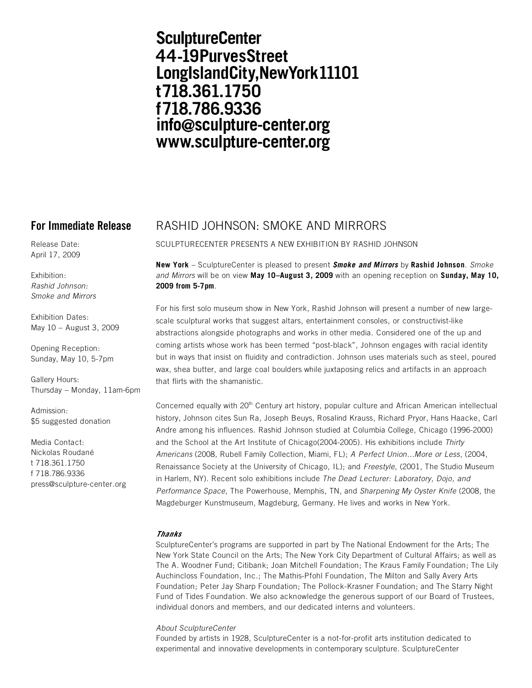# **SculptureCenter** 44-19PurvesStreet LongIslandCity, New York 11101 t718.361.1750 f718.786.9336 info@sculpture-center.org www.sculpture-center.org

Release Date: April 17, 2009

Exhibition: *Rashid Johnson: Smoke and Mirrors*

Exhibition Dates: May 10 – August 3, 2009

Opening Reception: Sunday, May 10, 5-7pm

Gallery Hours: Thursday – Monday, 11am-6pm

Admission: \$5 suggested donation

Media Contact: Nickolas Roudané t 718.361.1750 f 718.786.9336 press@sculpture-center.org

## **For Immediate Release** RASHID JOHNSON: SMOKE AND MIRRORS

SCULPTURECENTER PRESENTS A NEW EXHIBITION BY RASHID JOHNSON

**New York** – SculptureCenter is pleased to present *Smoke and Mirrors* by **Rashid Johnson**. *Smoke and Mirrors* will be on view **May 10–August 3, 2009** with an opening reception on **Sunday, May 10, 2009 from 5-7pm**.

For his first solo museum show in New York, Rashid Johnson will present a number of new largescale sculptural works that suggest altars, entertainment consoles, or constructivist-like abstractions alongside photographs and works in other media. Considered one of the up and coming artists whose work has been termed "post-black", Johnson engages with racial identity but in ways that insist on fluidity and contradiction. Johnson uses materials such as steel, poured wax, shea butter, and large coal boulders while juxtaposing relics and artifacts in an approach that flirts with the shamanistic.

Concerned equally with 20<sup>th</sup> Century art history, popular culture and African American intellectual history, Johnson cites Sun Ra, Joseph Beuys, Rosalind Krauss, Richard Pryor, Hans Haacke, Carl Andre among his influences. Rashid Johnson studied at Columbia College, Chicago (1996-2000) and the School at the Art Institute of Chicago(2004-2005). His exhibitions include *Thirty Americans* (2008, Rubell Family Collection, Miami, FL); *A Perfect Union...More or Less*, (2004, Renaissance Society at the University of Chicago, IL); and *Freestyle*, (2001, The Studio Museum in Harlem, NY). Recent solo exhibitions include *The Dead Lecturer: Laboratory, Dojo, and Performance Space*, The Powerhouse, Memphis, TN, and *Sharpening My Oyster Knife* (2008, the Magdeburger Kunstmuseum, Magdeburg, Germany. He lives and works in New York.

## *Thanks*

SculptureCenter's programs are supported in part by The National Endowment for the Arts; The New York State Council on the Arts; The New York City Department of Cultural Affairs; as well as The A. Woodner Fund; Citibank; Joan Mitchell Foundation; The Kraus Family Foundation; The Lily Auchincloss Foundation, Inc.; The Mathis-Pfohl Foundation, The Milton and Sally Avery Arts Foundation; Peter Jay Sharp Foundation; The Pollock-Krasner Foundation; and The Starry Night Fund of Tides Foundation. We also acknowledge the generous support of our Board of Trustees, individual donors and members, and our dedicated interns and volunteers.

## *About SculptureCenter*

Founded by artists in 1928, SculptureCenter is a not-for-profit arts institution dedicated to experimental and innovative developments in contemporary sculpture. SculptureCenter